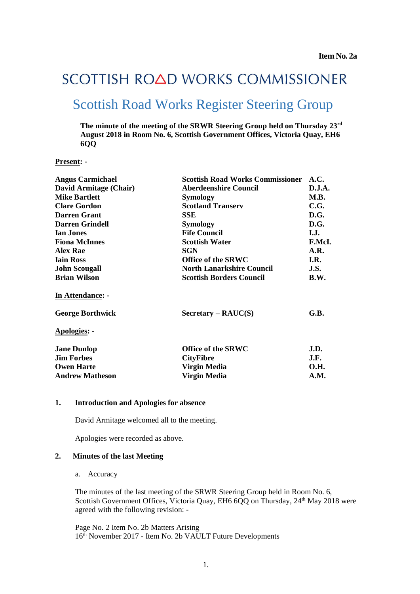# SCOTTISH ROAD WORKS COMMISSIONER

# Scottish Road Works Register Steering Group

**The minute of the meeting of the SRWR Steering Group held on Thursday 23 rd August 2018 in Room No. 6, Scottish Government Offices, Victoria Quay, EH6 6QQ**

#### **Present: -**

| <b>Angus Carmichael</b> | <b>Scottish Road Works Commissioner</b> | A.C.        |
|-------------------------|-----------------------------------------|-------------|
| David Armitage (Chair)  | <b>Aberdeenshire Council</b>            | D.J.A.      |
| <b>Mike Bartlett</b>    | Symology                                | M.B.        |
| <b>Clare Gordon</b>     | <b>Scotland Transerv</b>                | C.G.        |
| <b>Darren Grant</b>     | SSE                                     | D.G.        |
| <b>Darren Grindell</b>  | Symology                                | D.G.        |
| <b>Ian Jones</b>        | <b>Fife Council</b>                     | I.J.        |
| <b>Fiona McInnes</b>    | <b>Scottish Water</b>                   | F.McI.      |
| <b>Alex Rae</b>         | SGN                                     | A.R.        |
| <b>Iain Ross</b>        | <b>Office of the SRWC</b>               | I.R.        |
| <b>John Scougall</b>    | <b>North Lanarkshire Council</b>        | J.S.        |
| <b>Brian Wilson</b>     | <b>Scottish Borders Council</b>         | B.W.        |
| In Attendance: -        |                                         |             |
| <b>George Borthwick</b> | $Sercetary - RAUC(S)$                   | G.B.        |
| <b>Apologies: -</b>     |                                         |             |
| <b>Jane Dunlop</b>      | Office of the SRWC                      | J.D.        |
| <b>Jim Forbes</b>       | <b>CityFibre</b>                        | J.F.        |
| <b>Owen Harte</b>       | Virgin Media                            | <b>O.H.</b> |
| <b>Andrew Matheson</b>  | Virgin Media                            | A.M.        |

#### **1. Introduction and Apologies for absence**

David Armitage welcomed all to the meeting.

Apologies were recorded as above.

#### **2. Minutes of the last Meeting**

a. Accuracy

The minutes of the last meeting of the SRWR Steering Group held in Room No. 6, Scottish Government Offices, Victoria Quay, EH6 6QQ on Thursday, 24<sup>th</sup> May 2018 were agreed with the following revision: -

Page No. 2 Item No. 2b Matters Arising 16th November 2017 - Item No. 2b VAULT Future Developments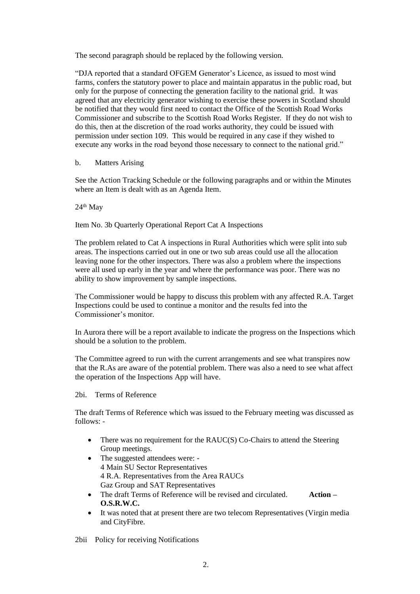The second paragraph should be replaced by the following version.

"DJA reported that a standard OFGEM Generator's Licence, as issued to most wind farms, confers the statutory power to place and maintain apparatus in the public road, but only for the purpose of connecting the generation facility to the national grid. It was agreed that any electricity generator wishing to exercise these powers in Scotland should be notified that they would first need to contact the Office of the Scottish Road Works Commissioner and subscribe to the Scottish Road Works Register. If they do not wish to do this, then at the discretion of the road works authority, they could be issued with permission under section 109. This would be required in any case if they wished to execute any works in the road beyond those necessary to connect to the national grid."

#### b. Matters Arising

See the Action Tracking Schedule or the following paragraphs and or within the Minutes where an Item is dealt with as an Agenda Item.

 $24<sup>th</sup>$  May

Item No. 3b Quarterly Operational Report Cat A Inspections

The problem related to Cat A inspections in Rural Authorities which were split into sub areas. The inspections carried out in one or two sub areas could use all the allocation leaving none for the other inspectors. There was also a problem where the inspections were all used up early in the year and where the performance was poor. There was no ability to show improvement by sample inspections.

The Commissioner would be happy to discuss this problem with any affected R.A. Target Inspections could be used to continue a monitor and the results fed into the Commissioner's monitor.

In Aurora there will be a report available to indicate the progress on the Inspections which should be a solution to the problem.

The Committee agreed to run with the current arrangements and see what transpires now that the R.As are aware of the potential problem. There was also a need to see what affect the operation of the Inspections App will have.

#### 2bi. Terms of Reference

The draft Terms of Reference which was issued to the February meeting was discussed as follows: -

- There was no requirement for the RAUC(S) Co-Chairs to attend the Steering Group meetings.
- The suggested attendees were: -4 Main SU Sector Representatives 4 R.A. Representatives from the Area RAUCs Gaz Group and SAT Representatives
- The draft Terms of Reference will be revised and circulated. **Action – O.S.R.W.C.**
- It was noted that at present there are two telecom Representatives (Virgin media and CityFibre.
- 2bii Policy for receiving Notifications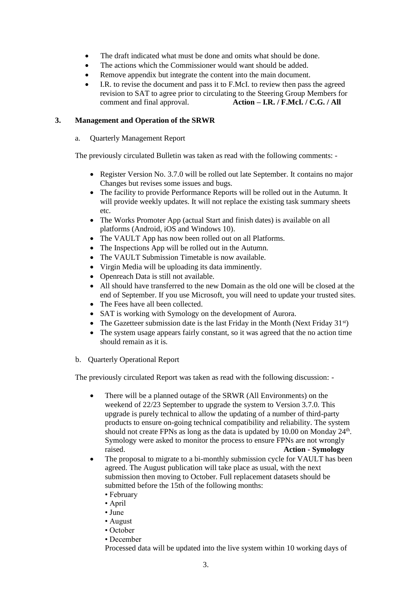- The draft indicated what must be done and omits what should be done.
- The actions which the Commissioner would want should be added.
- Remove appendix but integrate the content into the main document.
- I.R. to revise the document and pass it to F.McI. to review then pass the agreed revision to SAT to agree prior to circulating to the Steering Group Members for comment and final approval. **Action – I.R. / F.McI. / C.G. / All**

# **3. Management and Operation of the SRWR**

# a. Quarterly Management Report

The previously circulated Bulletin was taken as read with the following comments: -

- Register Version No. 3.7.0 will be rolled out late September. It contains no major Changes but revises some issues and bugs.
- The facility to provide Performance Reports will be rolled out in the Autumn. It will provide weekly updates. It will not replace the existing task summary sheets etc.
- The Works Promoter App (actual Start and finish dates) is available on all platforms (Android, iOS and Windows 10).
- The VAULT App has now been rolled out on all Platforms.
- The Inspections App will be rolled out in the Autumn.
- The VAULT Submission Timetable is now available.
- Virgin Media will be uploading its data imminently.
- Openreach Data is still not available.
- All should have transferred to the new Domain as the old one will be closed at the end of September. If you use Microsoft, you will need to update your trusted sites.
- The Fees have all been collected.
- SAT is working with Symology on the development of Aurora.
- The Gazetteer submission date is the last Friday in the Month (Next Friday  $31<sup>st</sup>$ )
- The system usage appears fairly constant, so it was agreed that the no action time should remain as it is.
- b. Quarterly Operational Report

The previously circulated Report was taken as read with the following discussion: -

- There will be a planned outage of the SRWR (All Environments) on the weekend of 22/23 September to upgrade the system to Version 3.7.0. This upgrade is purely technical to allow the updating of a number of third-party products to ensure on-going technical compatibility and reliability. The system should not create FPNs as long as the data is updated by 10.00 on Monday 24<sup>th</sup>. Symology were asked to monitor the process to ensure FPNs are not wrongly raised. **Action - Symology**
- The proposal to migrate to a bi-monthly submission cycle for VAULT has been agreed. The August publication will take place as usual, with the next submission then moving to October. Full replacement datasets should be submitted before the 15th of the following months:
	- February
	- April
	- June
	- August
	- October
	- December

Processed data will be updated into the live system within 10 working days of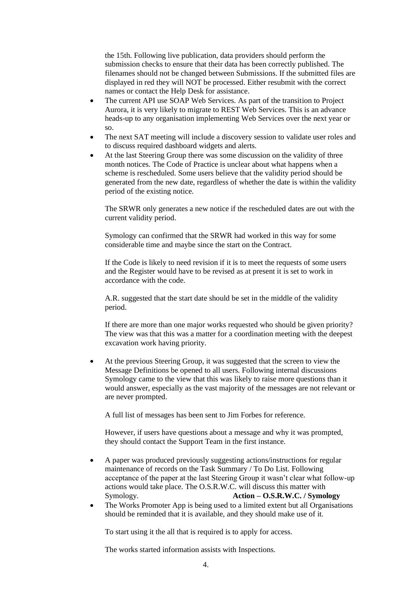the 15th. Following live publication, data providers should perform the submission checks to ensure that their data has been correctly published. The filenames should not be changed between Submissions. If the submitted files are displayed in red they will NOT be processed. Either resubmit with the correct names or contact the Help Desk for assistance.

- The current API use SOAP Web Services. As part of the transition to Project Aurora, it is very likely to migrate to REST Web Services. This is an advance heads-up to any organisation implementing Web Services over the next year or so.
- The next SAT meeting will include a discovery session to validate user roles and to discuss required dashboard widgets and alerts.
- At the last Steering Group there was some discussion on the validity of three month notices. The Code of Practice is unclear about what happens when a scheme is rescheduled. Some users believe that the validity period should be generated from the new date, regardless of whether the date is within the validity period of the existing notice.

The SRWR only generates a new notice if the rescheduled dates are out with the current validity period.

Symology can confirmed that the SRWR had worked in this way for some considerable time and maybe since the start on the Contract.

If the Code is likely to need revision if it is to meet the requests of some users and the Register would have to be revised as at present it is set to work in accordance with the code.

A.R. suggested that the start date should be set in the middle of the validity period.

If there are more than one major works requested who should be given priority? The view was that this was a matter for a coordination meeting with the deepest excavation work having priority.

• At the previous Steering Group, it was suggested that the screen to view the Message Definitions be opened to all users. Following internal discussions Symology came to the view that this was likely to raise more questions than it would answer, especially as the vast majority of the messages are not relevant or are never prompted.

A full list of messages has been sent to Jim Forbes for reference.

However, if users have questions about a message and why it was prompted, they should contact the Support Team in the first instance.

- A paper was produced previously suggesting actions/instructions for regular maintenance of records on the Task Summary / To Do List. Following acceptance of the paper at the last Steering Group it wasn't clear what follow-up actions would take place. The O.S.R.W.C. will discuss this matter with Symology. **Action – O.S.R.W.C. / Symology**
- The Works Promoter App is being used to a limited extent but all Organisations should be reminded that it is available, and they should make use of it.

To start using it the all that is required is to apply for access.

The works started information assists with Inspections.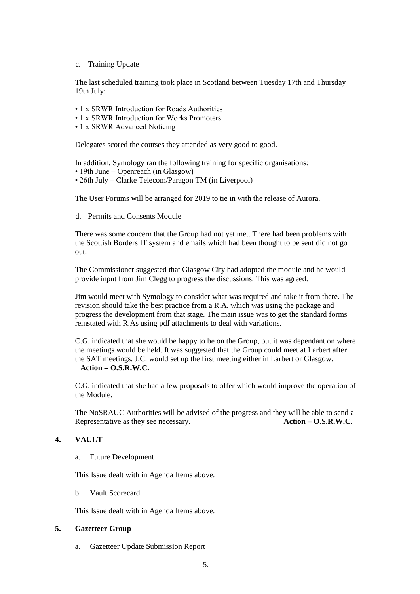#### c. Training Update

The last scheduled training took place in Scotland between Tuesday 17th and Thursday 19th July:

- 1 x SRWR Introduction for Roads Authorities
- 1 x SRWR Introduction for Works Promoters
- 1 x SRWR Advanced Noticing

Delegates scored the courses they attended as very good to good.

In addition, Symology ran the following training for specific organisations:

- 19th June Openreach (in Glasgow)
- 26th July Clarke Telecom/Paragon TM (in Liverpool)

The User Forums will be arranged for 2019 to tie in with the release of Aurora.

d. Permits and Consents Module

There was some concern that the Group had not yet met. There had been problems with the Scottish Borders IT system and emails which had been thought to be sent did not go out.

The Commissioner suggested that Glasgow City had adopted the module and he would provide input from Jim Clegg to progress the discussions. This was agreed.

Jim would meet with Symology to consider what was required and take it from there. The revision should take the best practice from a R.A. which was using the package and progress the development from that stage. The main issue was to get the standard forms reinstated with R.As using pdf attachments to deal with variations.

C.G. indicated that she would be happy to be on the Group, but it was dependant on where the meetings would be held. It was suggested that the Group could meet at Larbert after the SAT meetings. J.C. would set up the first meeting either in Larbert or Glasgow. **Action – O.S.R.W.C.**

C.G. indicated that she had a few proposals to offer which would improve the operation of the Module.

The NoSRAUC Authorities will be advised of the progress and they will be able to send a Representative as they see necessary. **Action – O.S.R.W.C.**

## **4. VAULT**

a. Future Development

This Issue dealt with in Agenda Items above.

b. Vault Scorecard

This Issue dealt with in Agenda Items above.

## **5. Gazetteer Group**

a. Gazetteer Update Submission Report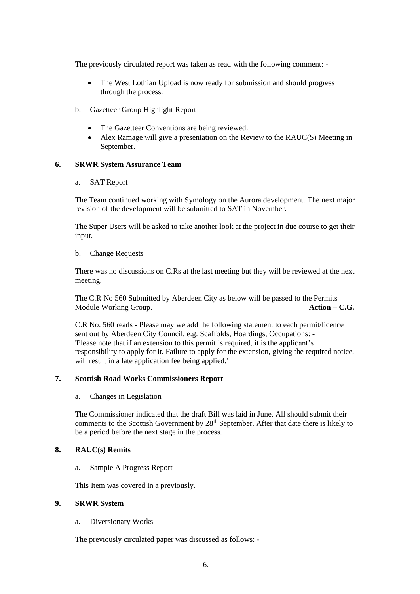The previously circulated report was taken as read with the following comment: -

- The West Lothian Upload is now ready for submission and should progress through the process.
- b. Gazetteer Group Highlight Report
	- The Gazetteer Conventions are being reviewed.
	- Alex Ramage will give a presentation on the Review to the RAUC(S) Meeting in September.

## **6. SRWR System Assurance Team**

## a. SAT Report

The Team continued working with Symology on the Aurora development. The next major revision of the development will be submitted to SAT in November.

The Super Users will be asked to take another look at the project in due course to get their input.

## b. Change Requests

There was no discussions on C.Rs at the last meeting but they will be reviewed at the next meeting.

The C.R No 560 Submitted by Aberdeen City as below will be passed to the Permits Module Working Group. **Action – C.G.**

C.R No. 560 reads - Please may we add the following statement to each permit/licence sent out by Aberdeen City Council. e.g. Scaffolds, Hoardings, Occupations: - 'Please note that if an extension to this permit is required, it is the applicant's responsibility to apply for it. Failure to apply for the extension, giving the required notice, will result in a late application fee being applied.'

## **7. Scottish Road Works Commissioners Report**

a. Changes in Legislation

The Commissioner indicated that the draft Bill was laid in June. All should submit their comments to the Scottish Government by 28<sup>th</sup> September. After that date there is likely to be a period before the next stage in the process.

## **8. RAUC(s) Remits**

a. Sample A Progress Report

This Item was covered in a previously.

# **9. SRWR System**

a. Diversionary Works

The previously circulated paper was discussed as follows: -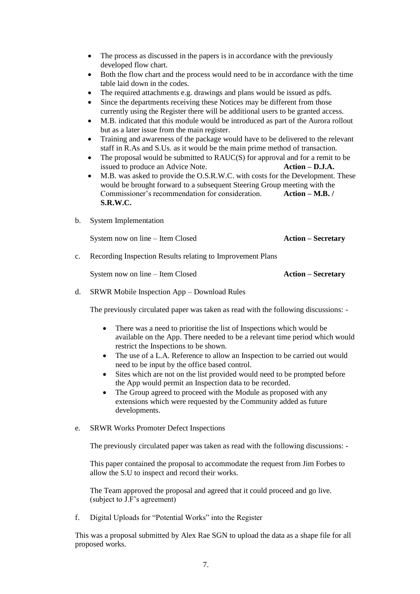- The process as discussed in the papers is in accordance with the previously developed flow chart.
- Both the flow chart and the process would need to be in accordance with the time table laid down in the codes.
- The required attachments e.g. drawings and plans would be issued as pdfs.
- Since the departments receiving these Notices may be different from those currently using the Register there will be additional users to be granted access.
- M.B. indicated that this module would be introduced as part of the Aurora rollout but as a later issue from the main register.
- Training and awareness of the package would have to be delivered to the relevant staff in R.As and S.Us. as it would be the main prime method of transaction.
- The proposal would be submitted to RAUC(S) for approval and for a remit to be issued to produce an Advice Note. **Action – D.J.A.**
- M.B. was asked to provide the O.S.R.W.C. with costs for the Development. These would be brought forward to a subsequent Steering Group meeting with the Commissioner's recommendation for consideration. **Action – M.B. / S.R.W.C.**
- b. System Implementation

System now on line – Item Closed **Action – Secretary** 

c. Recording Inspection Results relating to Improvement Plans

System now on line – Item Closed **Action – Secretary**

d. SRWR Mobile Inspection App – Download Rules

The previously circulated paper was taken as read with the following discussions: -

- There was a need to prioritise the list of Inspections which would be available on the App. There needed to be a relevant time period which would restrict the Inspections to be shown.
- The use of a L.A. Reference to allow an Inspection to be carried out would need to be input by the office based control.
- Sites which are not on the list provided would need to be prompted before the App would permit an Inspection data to be recorded.
- The Group agreed to proceed with the Module as proposed with any extensions which were requested by the Community added as future developments.
- e. SRWR Works Promoter Defect Inspections

The previously circulated paper was taken as read with the following discussions: -

This paper contained the proposal to accommodate the request from Jim Forbes to allow the S.U to inspect and record their works.

The Team approved the proposal and agreed that it could proceed and go live. (subject to J.F's agreement)

f. Digital Uploads for "Potential Works" into the Register

This was a proposal submitted by Alex Rae SGN to upload the data as a shape file for all proposed works.